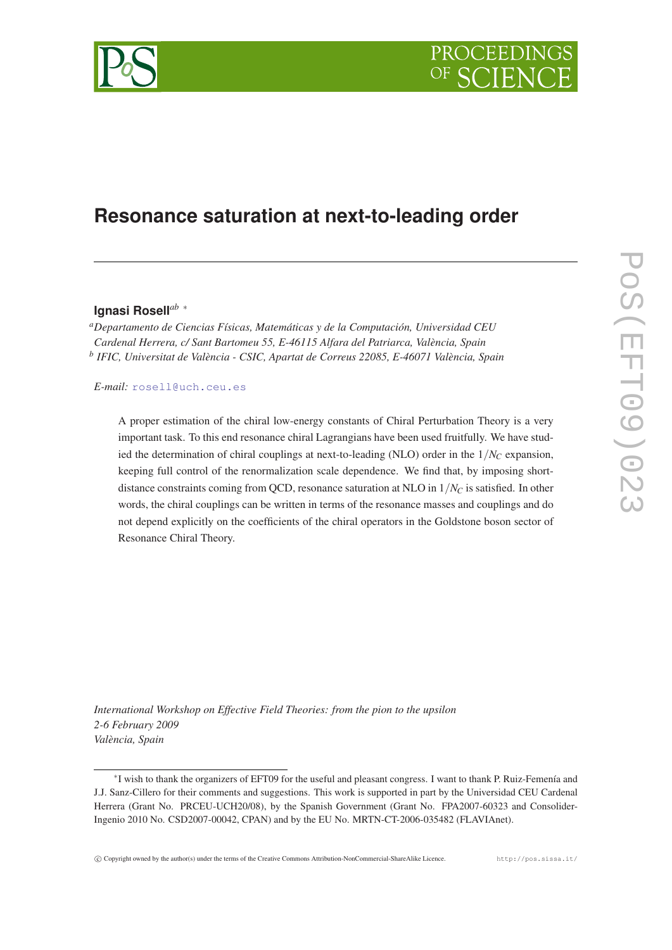

# **Resonance saturation at next-to-leading order**

# **Ignasi Rosell***ab* <sup>∗</sup>

*<sup>a</sup>Departamento de Ciencias Físicas, Matemáticas y de la Computación, Universidad CEU Cardenal Herrera, c/ Sant Bartomeu 55, E-46115 Alfara del Patriarca, València, Spain b IFIC, Universitat de València - CSIC, Apartat de Correus 22085, E-46071 València, Spain*

*E-mail:* [rosell@uch.ceu.es](mailto:rosell@uch.ceu.es)

A proper estimation of the chiral low-energy constants of Chiral Perturbation Theory is a very important task. To this end resonance chiral Lagrangians have been used fruitfully. We have studied the determination of chiral couplings at next-to-leading (NLO) order in the  $1/N<sub>C</sub>$  expansion, keeping full control of the renormalization scale dependence. We find that, by imposing shortdistance constraints coming from QCD, resonance saturation at NLO in 1/*N<sup>C</sup>* is satisfied. In other words, the chiral couplings can be written in terms of the resonance masses and couplings and do not depend explicitly on the coefficients of the chiral operators in the Goldstone boson sector of Resonance Chiral Theory.

*International Workshop on Effective Field Theories: from the pion to the upsilon 2-6 February 2009 València, Spain*

c Copyright owned by the author(s) under the terms of the Creative Commons Attribution-NonCommercial-ShareAlike Licence. http://pos.sissa.it/



<sup>∗</sup> I wish to thank the organizers of EFT09 for the useful and pleasant congress. I want to thank P. Ruiz-Femenía and J.J. Sanz-Cillero for their comments and suggestions. This work is supported in part by the Universidad CEU Cardenal Herrera (Grant No. PRCEU-UCH20/08), by the Spanish Government (Grant No. FPA2007-60323 and Consolider-Ingenio 2010 No. CSD2007-00042, CPAN) and by the EU No. MRTN-CT-2006-035482 (FLAVIAnet).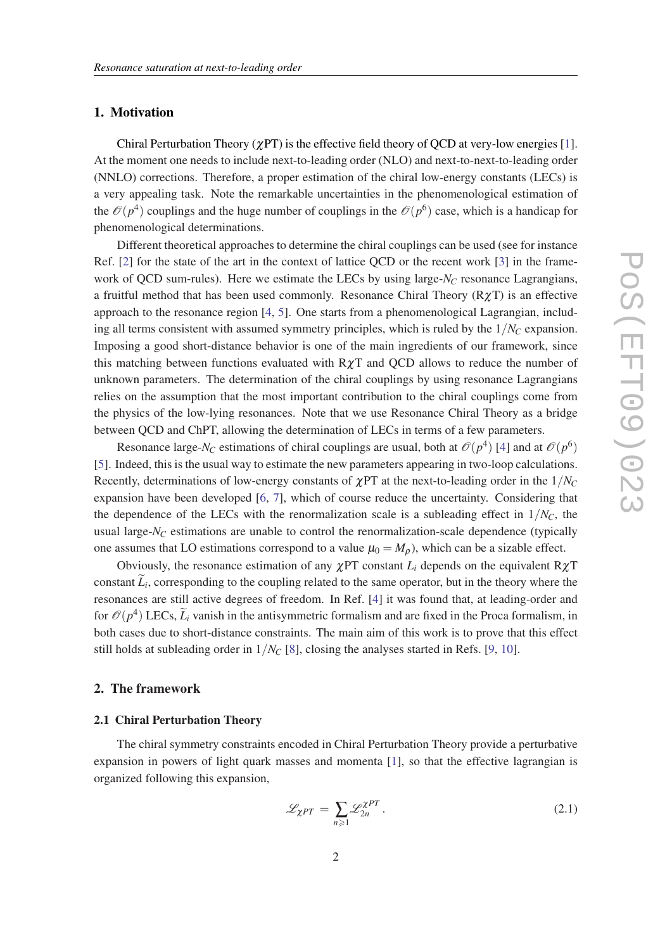## <span id="page-1-0"></span>1. Motivation

Chiral Perturbation Theory ( $\chi$ PT) is the effective field theory of QCD at very-low energies [\[1\]](#page-6-0). At the moment one needs to include next-to-leading order (NLO) and next-to-next-to-leading order (NNLO) corrections. Therefore, a proper estimation of the chiral low-energy constants (LECs) is a very appealing task. Note the remarkable uncertainties in the phenomenological estimation of the  $\mathcal{O}(p^4)$  couplings and the huge number of couplings in the  $\mathcal{O}(p^6)$  case, which is a handicap for phenomenological determinations.

Different theoretical approaches to determine the chiral couplings can be used (see for instance Ref. [[2](#page-6-0)] for the state of the art in the context of lattice QCD or the recent work [[3](#page-6-0)] in the framework of QCD sum-rules). Here we estimate the LECs by using large-*N<sup>C</sup>* resonance Lagrangians, a fruitful method that has been used commonly. Resonance Chiral Theory  $(R\chi T)$  is an effective approach to the resonance region [\[4,](#page-6-0) [5\]](#page-6-0). One starts from a phenomenological Lagrangian, including all terms consistent with assumed symmetry principles, which is ruled by the  $1/N<sub>C</sub>$  expansion. Imposing a good short-distance behavior is one of the main ingredients of our framework, since this matching between functions evaluated with  $R\chi T$  and QCD allows to reduce the number of unknown parameters. The determination of the chiral couplings by using resonance Lagrangians relies on the assumption that the most important contribution to the chiral couplings come from the physics of the low-lying resonances. Note that we use Resonance Chiral Theory as a bridge between QCD and ChPT, allowing the determination of LECs in terms of a few parameters.

Resonance large-*N<sub>C</sub>* estimations of chiral couplings are usual, both at  $\mathcal{O}(p^4)$  $\mathcal{O}(p^4)$  $\mathcal{O}(p^4)$  [4] and at  $\mathcal{O}(p^6)$ [[5](#page-6-0)]. Indeed, this is the usual way to estimate the new parameters appearing in two-loop calculations. Recently, determinations of low-energy constants of  $\chi PT$  at the next-to-leading order in the  $1/N_C$ expansion have been developed [\[6,](#page-6-0) [7\]](#page-6-0), which of course reduce the uncertainty. Considering that the dependence of the LECs with the renormalization scale is a subleading effect in  $1/N<sub>C</sub>$ , the usual large- $N_C$  estimations are unable to control the renormalization-scale dependence (typically one assumes that LO estimations correspond to a value  $\mu_0 = M_\rho$ ), which can be a sizable effect.

Obviously, the resonance estimation of any  $\chi$ PT constant  $L_i$  depends on the equivalent R $\chi$ T constant  $L_i$ , corresponding to the coupling related to the same operator, but in the theory where the resonances are still active degrees of freedom. In Ref. [\[4\]](#page-6-0) it was found that, at leading-order and for  $\mathcal{O}(p^4)$  LECs,  $\tilde{L}_i$  vanish in the antisymmetric formalism and are fixed in the Proca formalism, in both cases due to short-distance constraints. The main aim of this work is to prove that this effect still holds at subleading order in  $1/N_C$  [\[8\]](#page-6-0), closing the analyses started in Refs. [[9](#page-6-0), [10\]](#page-6-0).

# 2. The framework

## 2.1 Chiral Perturbation Theory

The chiral symmetry constraints encoded in Chiral Perturbation Theory provide a perturbative expansion in powers of light quark masses and momenta [[1](#page-6-0)], so that the effective lagrangian is organized following this expansion,

$$
\mathcal{L}_{\chi PT} = \sum_{n \geq 1} \mathcal{L}_{2n}^{\chi PT} \,. \tag{2.1}
$$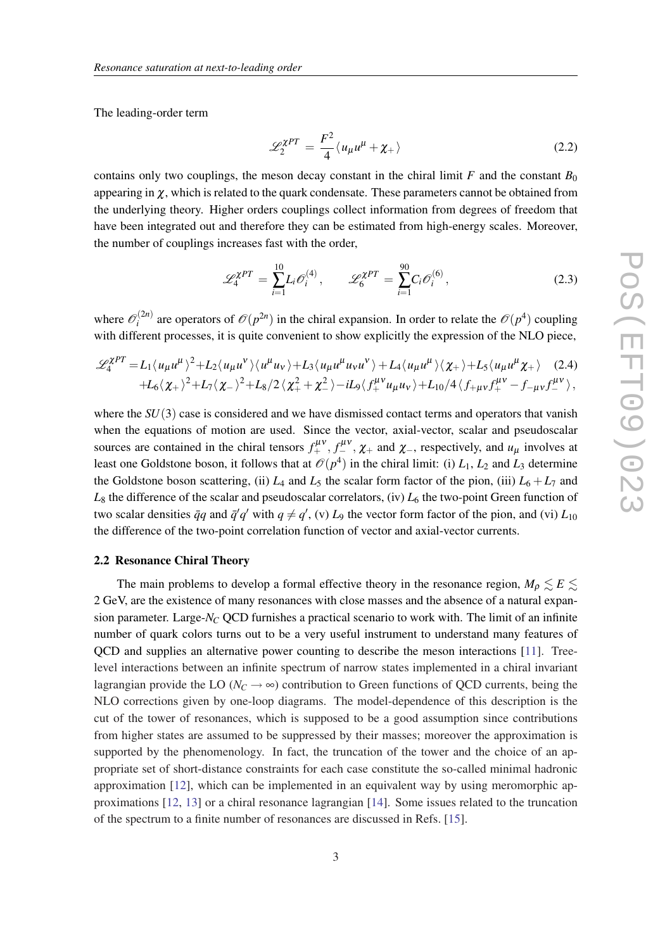<span id="page-2-0"></span>The leading-order term

$$
\mathcal{L}_2^{\chi PT} = \frac{F^2}{4} \langle u_\mu u^\mu + \chi_+ \rangle \tag{2.2}
$$

contains only two couplings, the meson decay constant in the chiral limit  $F$  and the constant  $B_0$ appearing in  $\gamma$ , which is related to the quark condensate. These parameters cannot be obtained from the underlying theory. Higher orders couplings collect information from degrees of freedom that have been integrated out and therefore they can be estimated from high-energy scales. Moreover, the number of couplings increases fast with the order,

$$
\mathcal{L}_4^{\chi PT} = \sum_{i=1}^{10} L_i \mathcal{O}_i^{(4)}, \qquad \mathcal{L}_6^{\chi PT} = \sum_{i=1}^{90} C_i \mathcal{O}_i^{(6)}, \tag{2.3}
$$

where  $\mathcal{O}_i^{(2n)}$  $\int_{i}^{(2n)}$  are operators of  $\mathcal{O}(p^{2n})$  in the chiral expansion. In order to relate the  $\mathcal{O}(p^4)$  coupling with different processes, it is quite convenient to show explicitly the expression of the NLO piece,

$$
\mathscr{L}_{4}^{\chi PT} = L_1 \langle u_{\mu} u^{\mu} \rangle^2 + L_2 \langle u_{\mu} u^{\nu} \rangle \langle u^{\mu} u_{\nu} \rangle + L_3 \langle u_{\mu} u^{\mu} u_{\nu} u^{\nu} \rangle + L_4 \langle u_{\mu} u^{\mu} \rangle \langle \chi_+ \rangle + L_5 \langle u_{\mu} u^{\mu} \chi_+ \rangle \quad (2.4)
$$
  
+L\_6 \langle \chi\_+ \rangle^2 + L\_7 \langle \chi\_- \rangle^2 + L\_8 / 2 \langle \chi\_+^2 + \chi\_-^2 \rangle - iL\_9 \langle f\_+^{\mu \nu} u\_{\mu} u\_{\nu} \rangle + L\_{10} / 4 \langle f\_{+ \mu \nu} f\_+^{\mu \nu} - f\_{- \mu \nu} f\_-^{\mu \nu} \rangle,

where the *SU*(3) case is considered and we have dismissed contact terms and operators that vanish when the equations of motion are used. Since the vector, axial-vector, scalar and pseudoscalar sources are contained in the chiral tensors  $f_+^{\mu\nu}$ ,  $f_-^{\mu\nu}$ ,  $\chi_+$  and  $\chi_-$ , respectively, and  $u_\mu$  involves at least one Goldstone boson, it follows that at  $\mathcal{O}(p^4)$  in the chiral limit: (i)  $L_1$ ,  $L_2$  and  $L_3$  determine the Goldstone boson scattering, (ii)  $L_4$  and  $L_5$  the scalar form factor of the pion, (iii)  $L_6 + L_7$  and  $L_8$  the difference of the scalar and pseudoscalar correlators, (iv)  $L_6$  the two-point Green function of two scalar densities  $\bar{q}q$  and  $\bar{q}'q'$  with  $q \neq q'$ , (v)  $L_9$  the vector form factor of the pion, and (vi)  $L_{10}$ the difference of the two-point correlation function of vector and axial-vector currents.

### 2.2 Resonance Chiral Theory

The main problems to develop a formal effective theory in the resonance region,  $M_{\rho} \leq E \leq$ 2 GeV, are the existence of many resonances with close masses and the absence of a natural expansion parameter. Large- $N_C$  QCD furnishes a practical scenario to work with. The limit of an infinite number of quark colors turns out to be a very useful instrument to understand many features of QCD and supplies an alternative power counting to describe the meson interactions [\[11\]](#page-6-0). Treelevel interactions between an infinite spectrum of narrow states implemented in a chiral invariant lagrangian provide the LO ( $N_C \rightarrow \infty$ ) contribution to Green functions of QCD currents, being the NLO corrections given by one-loop diagrams. The model-dependence of this description is the cut of the tower of resonances, which is supposed to be a good assumption since contributions from higher states are assumed to be suppressed by their masses; moreover the approximation is supported by the phenomenology. In fact, the truncation of the tower and the choice of an appropriate set of short-distance constraints for each case constitute the so-called minimal hadronic approximation [\[12](#page-6-0)], which can be implemented in an equivalent way by using meromorphic approximations [[12](#page-6-0), [13](#page-6-0)] or a chiral resonance lagrangian [[14\]](#page-6-0). Some issues related to the truncation of the spectrum to a finite number of resonances are discussed in Refs. [\[15](#page-6-0)].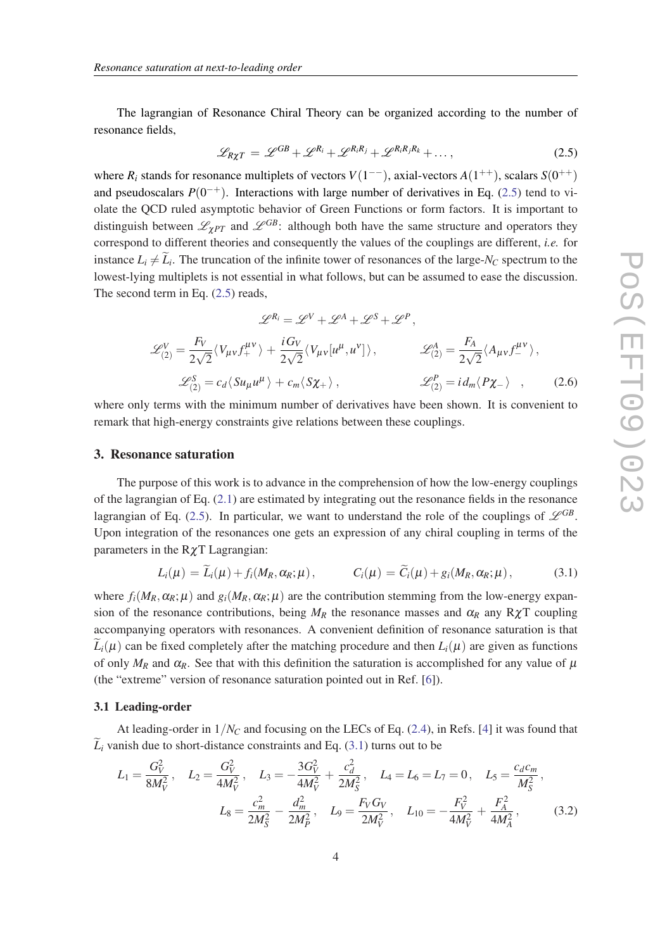<span id="page-3-0"></span>The lagrangian of Resonance Chiral Theory can be organized according to the number of resonance fields,

$$
\mathcal{L}_{R\chi T} = \mathcal{L}^{GB} + \mathcal{L}^{R_i} + \mathcal{L}^{R_i R_j} + \mathcal{L}^{R_i R_j R_k} + \dots,
$$
\n(2.5)

where  $R_i$  stands for resonance multiplets of vectors  $V(1^{--})$ , axial-vectors  $A(1^{++})$ , scalars  $S(0^{++})$ and pseudoscalars  $P(0^{-+})$ . Interactions with large number of derivatives in Eq. (2.5) tend to violate the QCD ruled asymptotic behavior of Green Functions or form factors. It is important to distinguish between  $\mathscr{L}_{\gamma PT}$  and  $\mathscr{L}^{GB}$ : although both have the same structure and operators they correspond to different theories and consequently the values of the couplings are different, *i.e.* for instance  $L_i \neq L_i$ . The truncation of the infinite tower of resonances of the large-*N<sub>C</sub>* spectrum to the lowest-lying multiplets is not essential in what follows, but can be assumed to ease the discussion. The second term in Eq. (2.5) reads,

$$
\mathcal{L}^{R_i} = \mathcal{L}^V + \mathcal{L}^{A} + \mathcal{L}^S + \mathcal{L}^P,
$$
  
\n
$$
\mathcal{L}^{V}_{(2)} = \frac{F_V}{2\sqrt{2}} \langle V_{\mu\nu} f_{+}^{\mu\nu} \rangle + \frac{i G_V}{2\sqrt{2}} \langle V_{\mu\nu} [u^{\mu}, u^{\nu}] \rangle, \qquad \mathcal{L}^{A}_{(2)} = \frac{F_A}{2\sqrt{2}} \langle A_{\mu\nu} f_{-}^{\mu\nu} \rangle,
$$
  
\n
$$
\mathcal{L}^{S}_{(2)} = c_d \langle S u_{\mu} u^{\mu} \rangle + c_m \langle S \chi_{+} \rangle, \qquad \mathcal{L}^{P}_{(2)} = i d_m \langle P \chi_{-} \rangle , \qquad (2.6)
$$

where only terms with the minimum number of derivatives have been shown. It is convenient to remark that high-energy constraints give relations between these couplings.

#### 3. Resonance saturation

The purpose of this work is to advance in the comprehension of how the low-energy couplings of the lagrangian of Eq. ([2.1](#page-1-0)) are estimated by integrating out the resonance fields in the resonance lagrangian of Eq. (2.5). In particular, we want to understand the role of the couplings of  $\mathscr{L}^{GB}$ . Upon integration of the resonances one gets an expression of any chiral coupling in terms of the parameters in the RχT Lagrangian:

$$
L_i(\mu) = L_i(\mu) + f_i(M_R, \alpha_R; \mu), \qquad C_i(\mu) = C_i(\mu) + g_i(M_R, \alpha_R; \mu), \qquad (3.1)
$$

where  $f_i(M_R, \alpha_R; \mu)$  and  $g_i(M_R, \alpha_R; \mu)$  are the contribution stemming from the low-energy expansion of the resonance contributions, being  $M_R$  the resonance masses and  $\alpha_R$  any R $\chi$ T coupling accompanying operators with resonances. A convenient definition of resonance saturation is that  $L_i(\mu)$  can be fixed completely after the matching procedure and then  $L_i(\mu)$  are given as functions of only  $M_R$  and  $\alpha_R$ . See that with this definition the saturation is accomplished for any value of  $\mu$ (the "extreme" version of resonance saturation pointed out in Ref. [\[6\]](#page-6-0)).

#### 3.1 Leading-order

At leading-order in 1/*N<sup>C</sup>* and focusing on the LECs of Eq. ([2.4](#page-2-0)), in Refs. [\[4\]](#page-6-0) it was found that  $\tilde{L}_i$  vanish due to short-distance constraints and Eq. (3.1) turns out to be

$$
L_1 = \frac{G_V^2}{8M_V^2}, \quad L_2 = \frac{G_V^2}{4M_V^2}, \quad L_3 = -\frac{3G_V^2}{4M_V^2} + \frac{c_d^2}{2M_S^2}, \quad L_4 = L_6 = L_7 = 0, \quad L_5 = \frac{c_d c_m}{M_S^2},
$$

$$
L_8 = \frac{c_m^2}{2M_S^2} - \frac{d_m^2}{2M_P^2}, \quad L_9 = \frac{F_V G_V}{2M_V^2}, \quad L_{10} = -\frac{F_V^2}{4M_V^2} + \frac{F_A^2}{4M_A^2},\tag{3.2}
$$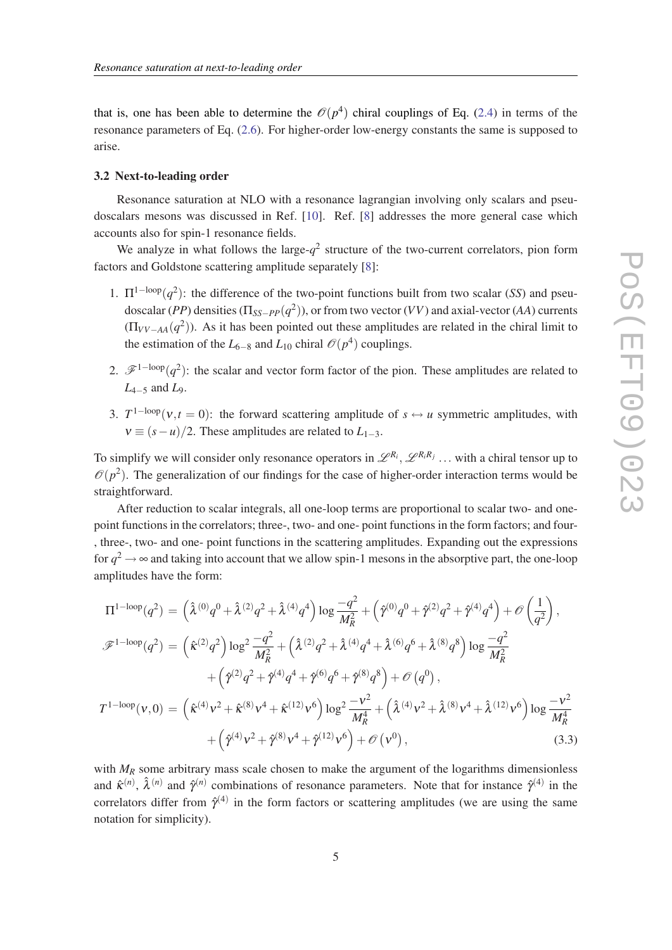<span id="page-4-0"></span>that is, one has been able to determine the  $\mathcal{O}(p^4)$  chiral couplings of Eq. ([2.4](#page-2-0)) in terms of the resonance parameters of Eq. ([2.6\)](#page-3-0). For higher-order low-energy constants the same is supposed to arise.

#### 3.2 Next-to-leading order

Resonance saturation at NLO with a resonance lagrangian involving only scalars and pseudoscalars mesons was discussed in Ref. [\[10](#page-6-0)]. Ref. [[8\]](#page-6-0) addresses the more general case which accounts also for spin-1 resonance fields.

We analyze in what follows the large- $q^2$  structure of the two-current correlators, pion form factors and Goldstone scattering amplitude separately [[8](#page-6-0)]:

- 1.  $\Pi^{1-loop}(q^2)$ : the difference of the two-point functions built from two scalar (*SS*) and pseudoscalar (*PP*) densities (Π*SS*−*PP*(*q* 2 )), or from two vector (*VV*) and axial-vector (*AA*) currents  $(\Pi_{VV-AA}(q^2))$ . As it has been pointed out these amplitudes are related in the chiral limit to the estimation of the  $L_{6-8}$  and  $L_{10}$  chiral  $\mathcal{O}(p^4)$  couplings.
- 2.  $\mathscr{F}^{\{1-\text{loop}\}}(q^2)$ : the scalar and vector form factor of the pion. These amplitudes are related to *L*4−<sup>5</sup> and *L*9.
- 3.  $T^{1-loop}(v,t=0)$ : the forward scattering amplitude of  $s \leftrightarrow u$  symmetric amplitudes, with  $v \equiv (s - u)/2$ . These amplitudes are related to  $L_{1-3}$ .

To simplify we will consider only resonance operators in  $\mathscr{L}^{R_i}, \mathscr{L}^{R_iR_j}$  ... with a chiral tensor up to  $\mathcal{O}(p^2)$ . The generalization of our findings for the case of higher-order interaction terms would be straightforward.

After reduction to scalar integrals, all one-loop terms are proportional to scalar two- and onepoint functions in the correlators; three-, two- and one- point functions in the form factors; and four- , three-, two- and one- point functions in the scattering amplitudes. Expanding out the expressions for  $q^2 \to \infty$  and taking into account that we allow spin-1 mesons in the absorptive part, the one-loop amplitudes have the form:

$$
\Pi^{1-\text{loop}}(q^{2}) = (\hat{\lambda}^{(0)}q^{0} + \hat{\lambda}^{(2)}q^{2} + \hat{\lambda}^{(4)}q^{4}) \log \frac{-q^{2}}{M_{R}^{2}} + (\hat{\gamma}^{(0)}q^{0} + \hat{\gamma}^{(2)}q^{2} + \hat{\gamma}^{(4)}q^{4}) + \mathcal{O}\left(\frac{1}{q^{2}}\right),
$$
  

$$
\mathcal{F}^{1-\text{loop}}(q^{2}) = (\hat{\kappa}^{(2)}q^{2}) \log^{2} \frac{-q^{2}}{M_{R}^{2}} + (\hat{\lambda}^{(2)}q^{2} + \hat{\lambda}^{(4)}q^{4} + \hat{\lambda}^{(6)}q^{6} + \hat{\lambda}^{(8)}q^{8}) \log \frac{-q^{2}}{M_{R}^{2}}
$$

$$
+ (\hat{\gamma}^{(2)}q^{2} + \hat{\gamma}^{(4)}q^{4} + \hat{\gamma}^{(6)}q^{6} + \hat{\gamma}^{(8)}q^{8}) + \mathcal{O}(q^{0}),
$$

$$
T^{1-\text{loop}}(\nu,0) = (\hat{\kappa}^{(4)}\nu^{2} + \hat{\kappa}^{(8)}\nu^{4} + \hat{\kappa}^{(12)}\nu^{6}) \log^{2} \frac{-\nu^{2}}{M_{R}^{4}} + (\hat{\lambda}^{(4)}\nu^{2} + \hat{\lambda}^{(8)}\nu^{4} + \hat{\lambda}^{(12)}\nu^{6}) \log \frac{-\nu^{2}}{M_{R}^{4}}
$$

$$
+ (\hat{\gamma}^{(4)}\nu^{2} + \hat{\gamma}^{(8)}\nu^{4} + \hat{\gamma}^{(12)}\nu^{6}) + \mathcal{O}(\nu^{0}), \qquad (3.3)
$$

with  $M_R$  some arbitrary mass scale chosen to make the argument of the logarithms dimensionless and  $\hat{\kappa}^{(n)}$ ,  $\hat{\lambda}^{(n)}$  and  $\hat{\gamma}^{(n)}$  combinations of resonance parameters. Note that for instance  $\hat{\gamma}^{(4)}$  in the correlators differ from  $\hat{\gamma}^{(4)}$  in the form factors or scattering amplitudes (we are using the same notation for simplicity).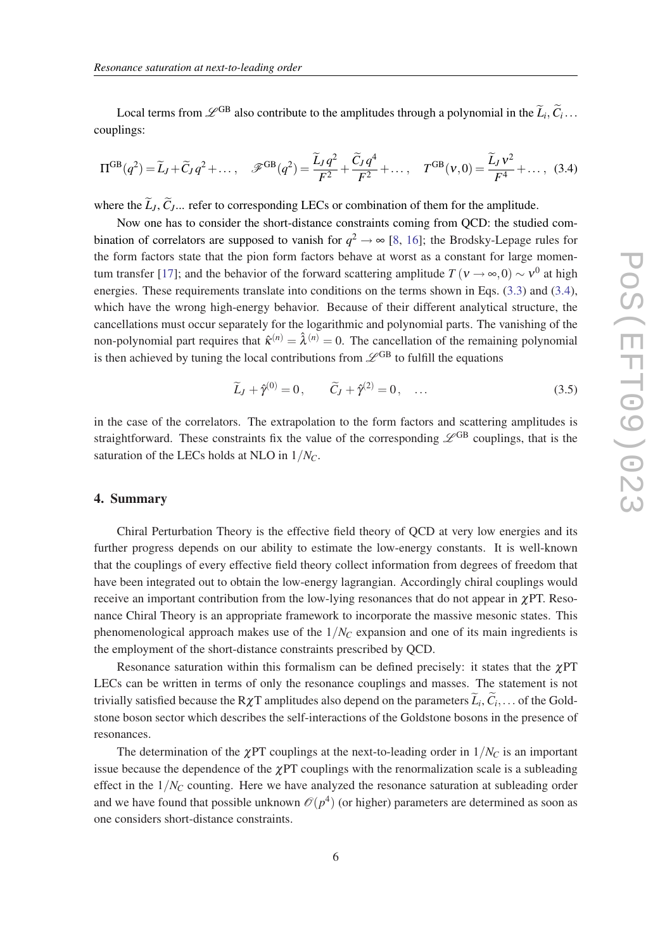Local terms from  $\mathcal{L}^{GB}$  also contribute to the amplitudes through a polynomial in the  $\tilde{L}_i, \tilde{C}_i$ ... couplings:

$$
\Pi^{GB}(q^2) = \widetilde{L}_J + \widetilde{C}_J q^2 + \dots, \quad \mathscr{F}^{GB}(q^2) = \frac{\widetilde{L}_J q^2}{F^2} + \frac{\widetilde{C}_J q^4}{F^2} + \dots, \quad T^{GB}(v,0) = \frac{\widetilde{L}_J v^2}{F^4} + \dots, \quad (3.4)
$$

where the  $\tilde{L}_J$ ,  $\tilde{C}_J$ ... refer to corresponding LECs or combination of them for the amplitude.

Now one has to consider the short-distance constraints coming from QCD: the studied combination of correlators are supposed to vanish for  $q^2 \to \infty$  [\[8,](#page-6-0) [16\]](#page-6-0); the Brodsky-Lepage rules for the form factors state that the pion form factors behave at worst as a constant for large momen-tum transfer [\[17](#page-6-0)]; and the behavior of the forward scattering amplitude  $T(v \to \infty, 0) \sim v^0$  at high energies. These requirements translate into conditions on the terms shown in Eqs. [\(3.3\)](#page-4-0) and (3.4), which have the wrong high-energy behavior. Because of their different analytical structure, the cancellations must occur separately for the logarithmic and polynomial parts. The vanishing of the non-polynomial part requires that  $\hat{\kappa}^{(n)} = \hat{\lambda}^{(n)} = 0$ . The cancellation of the remaining polynomial is then achieved by tuning the local contributions from  $\mathscr{L}^{GB}$  to fulfill the equations

$$
\widetilde{L}_J + \hat{\gamma}^{(0)} = 0, \qquad \widetilde{C}_J + \hat{\gamma}^{(2)} = 0, \quad \dots
$$
\n(3.5)

in the case of the correlators. The extrapolation to the form factors and scattering amplitudes is straightforward. These constraints fix the value of the corresponding  $\mathscr{L}^{GB}$  couplings, that is the saturation of the LECs holds at NLO in 1/*NC*.

## 4. Summary

Chiral Perturbation Theory is the effective field theory of QCD at very low energies and its further progress depends on our ability to estimate the low-energy constants. It is well-known that the couplings of every effective field theory collect information from degrees of freedom that have been integrated out to obtain the low-energy lagrangian. Accordingly chiral couplings would receive an important contribution from the low-lying resonances that do not appear in  $\chi PT$ . Resonance Chiral Theory is an appropriate framework to incorporate the massive mesonic states. This phenomenological approach makes use of the 1/*N<sup>C</sup>* expansion and one of its main ingredients is the employment of the short-distance constraints prescribed by QCD.

Resonance saturation within this formalism can be defined precisely: it states that the  $\chi$ PT LECs can be written in terms of only the resonance couplings and masses. The statement is not trivially satisfied because the  $R\chi T$  amplitudes also depend on the parameters  $L_i, C_i, \ldots$  of the Goldstone boson sector which describes the self-interactions of the Goldstone bosons in the presence of resonances.

The determination of the  $\chi$ PT couplings at the next-to-leading order in  $1/N_C$  is an important issue because the dependence of the  $\chi$ PT couplings with the renormalization scale is a subleading effect in the  $1/N_C$  counting. Here we have analyzed the resonance saturation at subleading order and we have found that possible unknown  $\mathcal{O}(p^4)$  (or higher) parameters are determined as soon as one considers short-distance constraints.